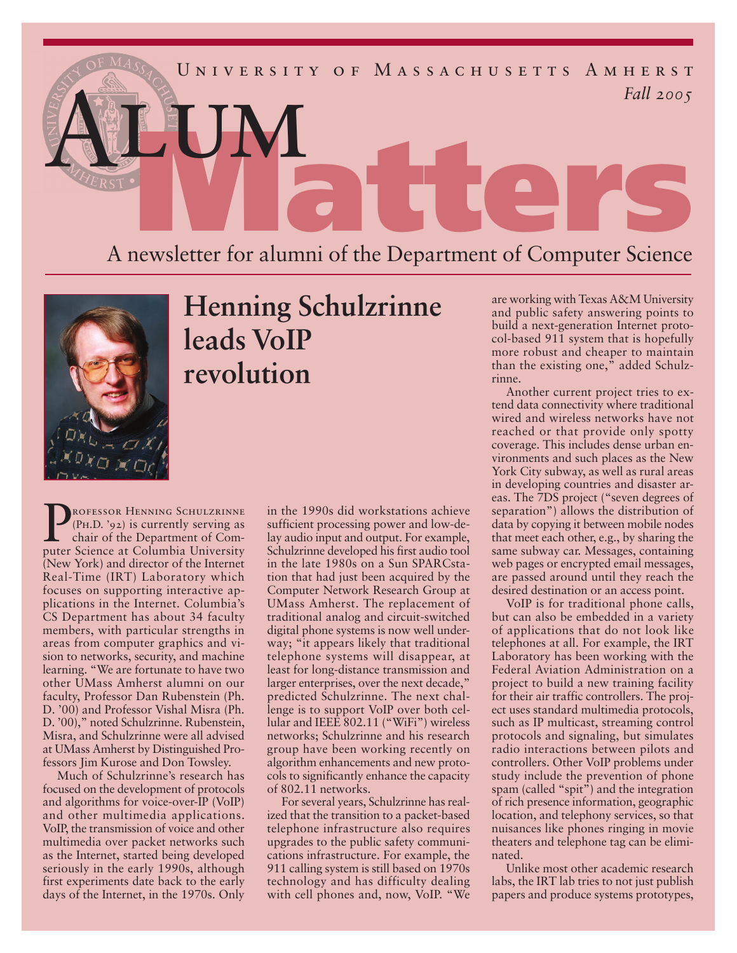

## A newsletter for alumni of the Department of Computer Science



## **Henning Schulzrinne leads VoIP revolution**

**PROFESSOR HENNING SCHULZRINNE**<br>
(PH.D. '92) is currently serving as<br>
chair of the Department of Com-(Ph.D. '92) is currently serving as puter Science at Columbia University (New York) and director of the Internet Real-Time (IRT) Laboratory which focuses on supporting interactive applications in the Internet. Columbia's CS Department has about 34 faculty members, with particular strengths in areas from computer graphics and vision to networks, security, and machine learning. "We are fortunate to have two other UMass Amherst alumni on our faculty, Professor Dan Rubenstein (Ph. D. '00) and Professor Vishal Misra (Ph. D. '00)," noted Schulzrinne. Rubenstein, Misra, and Schulzrinne were all advised at UMass Amherst by Distinguished Professors Jim Kurose and Don Towsley.

Much of Schulzrinne's research has focused on the development of protocols and algorithms for voice-over-IP (VoIP) and other multimedia applications. VoIP, the transmission of voice and other multimedia over packet networks such as the Internet, started being developed seriously in the early 1990s, although first experiments date back to the early days of the Internet, in the 1970s. Only in the 1990s did workstations achieve sufficient processing power and low-delay audio input and output. For example, Schulzrinne developed his first audio tool in the late 1980s on a Sun SPARCstation that had just been acquired by the Computer Network Research Group at UMass Amherst. The replacement of traditional analog and circuit-switched digital phone systems is now well underway; "it appears likely that traditional telephone systems will disappear, at least for long-distance transmission and larger enterprises, over the next decade," predicted Schulzrinne. The next challenge is to support VoIP over both cellular and IEEE 802.11 ("WiFi") wireless networks; Schulzrinne and his research group have been working recently on algorithm enhancements and new protocols to significantly enhance the capacity of 802.11 networks.

For several years, Schulzrinne has realized that the transition to a packet-based telephone infrastructure also requires upgrades to the public safety communications infrastructure. For example, the 911 calling system is still based on 1970s technology and has difficulty dealing with cell phones and, now, VoIP. "We

are working with Texas A&M University and public safety answering points to build a next-generation Internet protocol-based 911 system that is hopefully more robust and cheaper to maintain than the existing one," added Schulzrinne.

Another current project tries to extend data connectivity where traditional wired and wireless networks have not reached or that provide only spotty coverage. This includes dense urban environments and such places as the New York City subway, as well as rural areas in developing countries and disaster areas. The 7DS project ("seven degrees of separation") allows the distribution of data by copying it between mobile nodes that meet each other, e.g., by sharing the same subway car. Messages, containing web pages or encrypted email messages, are passed around until they reach the desired destination or an access point.

VoIP is for traditional phone calls, but can also be embedded in a variety of applications that do not look like telephones at all. For example, the IRT Laboratory has been working with the Federal Aviation Administration on a project to build a new training facility for their air traffic controllers. The project uses standard multimedia protocols, such as IP multicast, streaming control protocols and signaling, but simulates radio interactions between pilots and controllers. Other VoIP problems under study include the prevention of phone spam (called "spit") and the integration of rich presence information, geographic location, and telephony services, so that nuisances like phones ringing in movie theaters and telephone tag can be eliminated.

Unlike most other academic research labs, the IRT lab tries to not just publish papers and produce systems prototypes,